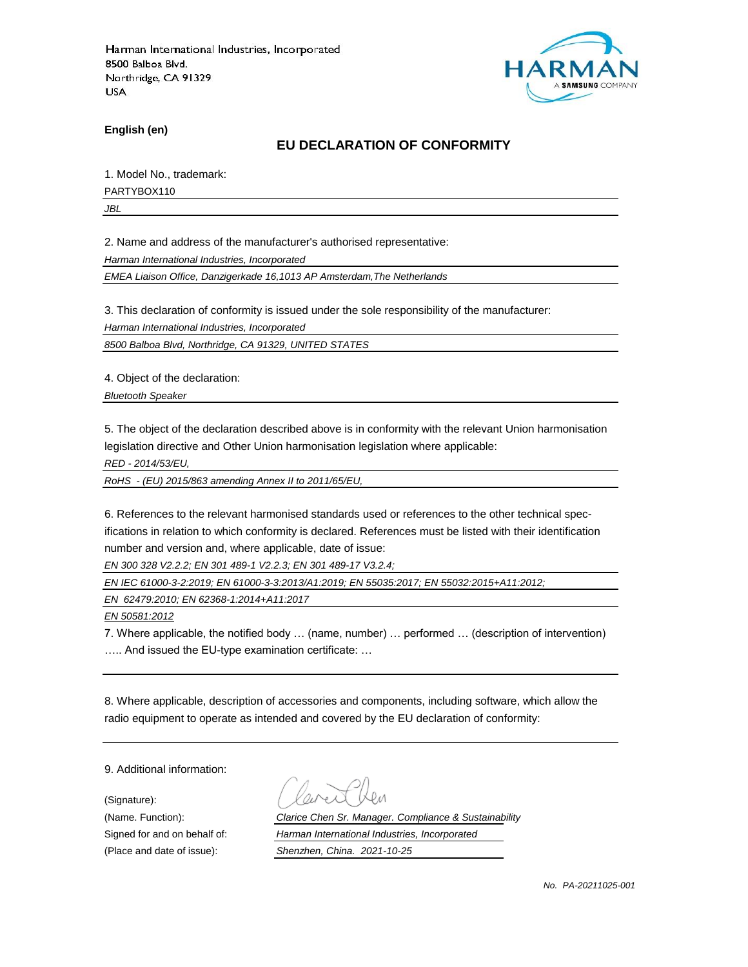

**English (en)**

### **EU DECLARATION OF CONFORMITY**

1. Model No., trademark:

PARTYBOX110

*JBL*

2. Name and address of the manufacturer's authorised representative:

*Harman International Industries, Incorporated*

*EMEA Liaison Office, Danzigerkade 16,1013 AP Amsterdam,The Netherlands*

3. This declaration of conformity is issued under the sole responsibility of the manufacturer:

*Harman International Industries, Incorporated*

*8500 Balboa Blvd, Northridge, CA 91329, UNITED STATES*

4. Object of the declaration:

*Bluetooth Speaker*

5. The object of the declaration described above is in conformity with the relevant Union harmonisation legislation directive and Other Union harmonisation legislation where applicable:

*RED - 2014/53/EU,*

*RoHS - (EU) 2015/863 amending Annex II to 2011/65/EU,*

6. References to the relevant harmonised standards used or references to the other technical specifications in relation to which conformity is declared. References must be listed with their identification number and version and, where applicable, date of issue:

*EN 300 328 V2.2.2; EN 301 489-1 V2.2.3; EN 301 489-17 V3.2.4;*

*EN IEC 61000-3-2:2019; EN 61000-3-3:2013/A1:2019; EN 55035:2017; EN 55032:2015+A11:2012;*

*EN 62479:2010; EN 62368-1:2014+A11:2017*

*EN 50581:2012*

7. Where applicable, the notified body … (name, number) … performed … (description of intervention) ….. And issued the EU-type examination certificate: …

8. Where applicable, description of accessories and components, including software, which allow the radio equipment to operate as intended and covered by the EU declaration of conformity:

9. Additional information:

(Signature):

(Name. Function): *Clarice Chen Sr. Manager. Compliance & Sustainability* Signed for and on behalf of: *Harman International Industries, Incorporated* (Place and date of issue): *Shenzhen, China. 2021-10-25*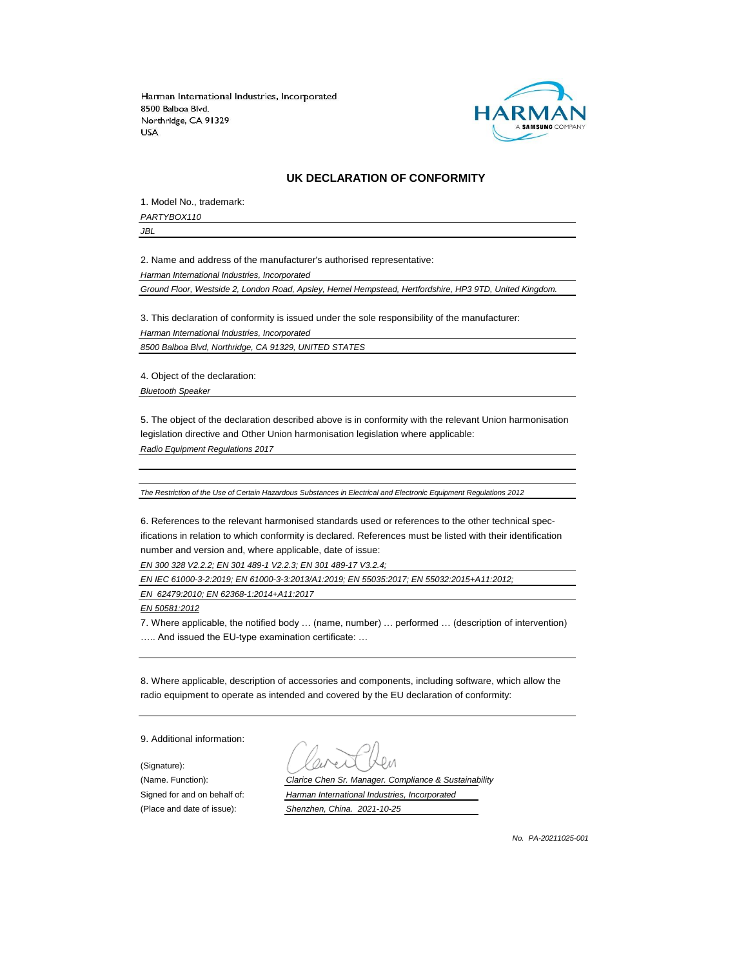

#### **UK DECLARATION OF CONFORMITY**

1. Model No., trademark: *PARTYBOX110*

*JBL*

2. Name and address of the manufacturer's authorised representative:

*Harman International Industries, Incorporated*

*Ground Floor, Westside 2, London Road, Apsley, Hemel Hempstead, Hertfordshire, HP3 9TD, United Kingdom.*

3. This declaration of conformity is issued under the sole responsibility of the manufacturer: *Harman International Industries, Incorporated*

*8500 Balboa Blvd, Northridge, CA 91329, UNITED STATES*

4. Object of the declaration:

*Bluetooth Speaker*

5. The object of the declaration described above is in conformity with the relevant Union harmonisation legislation directive and Other Union harmonisation legislation where applicable:

*Radio Equipment Regulations 2017*

*The Restriction of the Use of Certain Hazardous Substances in Electrical and Electronic Equipment Regulations 2012*

6. References to the relevant harmonised standards used or references to the other technical specifications in relation to which conformity is declared. References must be listed with their identification number and version and, where applicable, date of issue:

*EN 300 328 V2.2.2; EN 301 489-1 V2.2.3; EN 301 489-17 V3.2.4;*

*EN IEC 61000-3-2:2019; EN 61000-3-3:2013/A1:2019; EN 55035:2017; EN 55032:2015+A11:2012;*

*EN 62479:2010; EN 62368-1:2014+A11:2017*

*EN 50581:2012*

7. Where applicable, the notified body … (name, number) … performed … (description of intervention) ….. And issued the EU-type examination certificate: …

8. Where applicable, description of accessories and components, including software, which allow the radio equipment to operate as intended and covered by the EU declaration of conformity:

9. Additional information:

(Signature):

(Name. Function): *Clarice Chen Sr. Manager. Compliance & Sustainability* Signed for and on behalf of: *Harman International Industries, Incorporated* (Place and date of issue): *Shenzhen, China. 2021-10-25*

*No. PA-20211025-001*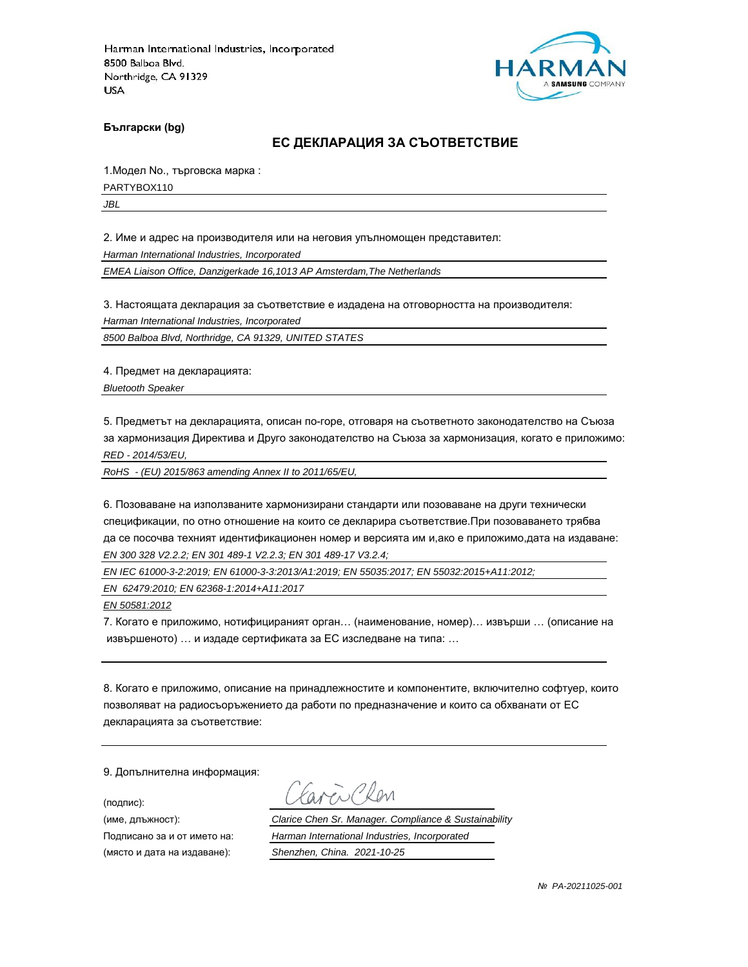

**Български (bg)**

#### **ЕС ДЕКЛАРАЦИЯ ЗА СЪОТВЕТСТВИЕ**

1.Модел No., търговска марка :

PARTYBOX110

*JBL*

2. Име и адрес на производителя или на неговия упълномощен представител:

*Harman International Industries, Incorporated*

*EMEA Liaison Office, Danzigerkade 16,1013 AP Amsterdam,The Netherlands*

3. Настоящата декларация за съответствие е издадена на отговорността на производителя:

*Harman International Industries, Incorporated*

*8500 Balboa Blvd, Northridge, CA 91329, UNITED STATES*

4. Предмет на декларацията:

*Bluetooth Speaker*

5. Предметът на декларацията, описан по-горе, отговаря на съответното законодателство на Съюза за хармонизация Директива и Друго законодателство на Съюза за хармонизация, когато е приложимо: *RED - 2014/53/EU,*

*RoHS - (EU) 2015/863 amending Annex II to 2011/65/EU,*

6. Позоваване на използваните хармонизирани стандарти или позоваване на други технически спецификации, по отно отношение на които се декларира съответствие.При позоваването трябва да се посочва техният идентификационен номер и версията им и,ако е приложимо,дата на издаване: *EN 300 328 V2.2.2; EN 301 489-1 V2.2.3; EN 301 489-17 V3.2.4;*

*EN IEC 61000-3-2:2019; EN 61000-3-3:2013/A1:2019; EN 55035:2017; EN 55032:2015+A11:2012;*

*EN 62479:2010; EN 62368-1:2014+A11:2017*

*EN 50581:2012*

7. Когато е приложимо, нотифицираният орган… (наименование, номер)… извърши … (описание на извършеното) … и издаде сертификата за ЕС изследване на типа: …

8. Когато е приложимо, описание на принадлежностите и компонентите, включително софтуер, които позволяват на радиосъоръжението да работи по предназначение и които са обхванати от ЕС декларацията за съответствие:

9. Допълнителна информация:

(подпис):

(място и дата на издаване): *Shenzhen, China. 2021-10-25*

aren Chen

(име, длъжност): *Clarice Chen Sr. Manager. Compliance & Sustainability*

Подписано за и от името на: *Harman International Industries, Incorporated*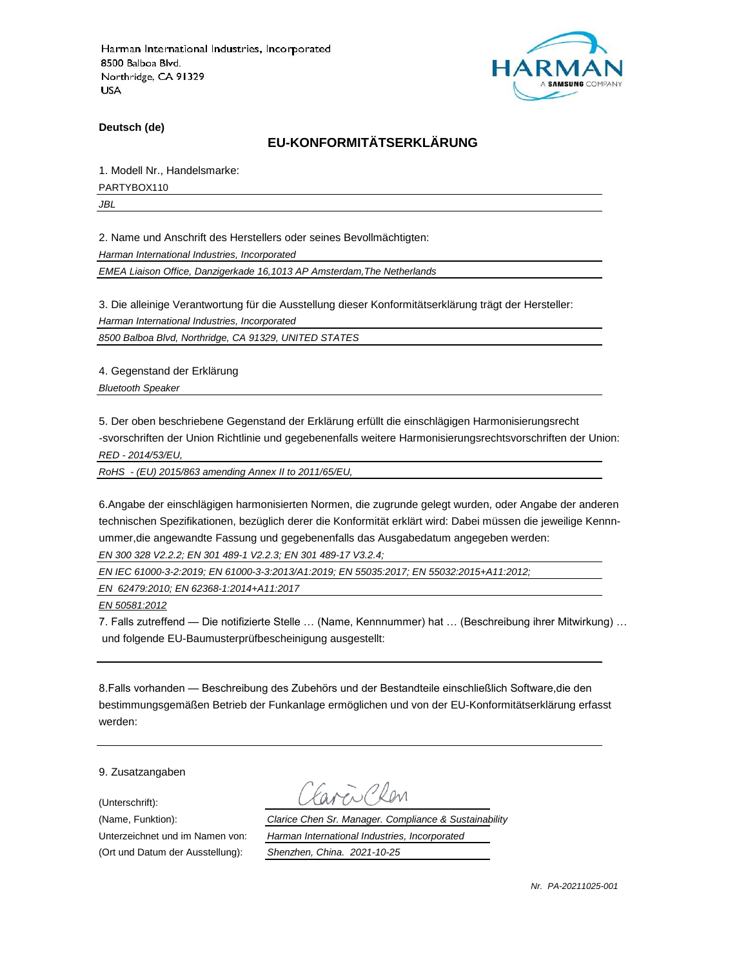

**Deutsch (de)**

# **EU-KONFORMITÄTSERKLÄRUNG**

1. Modell Nr., Handelsmarke:

PARTYBOX110

*JBL*

2. Name und Anschrift des Herstellers oder seines Bevollmächtigten:

*Harman International Industries, Incorporated*

*EMEA Liaison Office, Danzigerkade 16,1013 AP Amsterdam,The Netherlands*

3. Die alleinige Verantwortung für die Ausstellung dieser Konformitätserklärung trägt der Hersteller:

*Harman International Industries, Incorporated*

*8500 Balboa Blvd, Northridge, CA 91329, UNITED STATES*

4. Gegenstand der Erklärung

*Bluetooth Speaker*

5. Der oben beschriebene Gegenstand der Erklärung erfüllt die einschlägigen Harmonisierungsrecht -svorschriften der Union Richtlinie und gegebenenfalls weitere Harmonisierungsrechtsvorschriften der Union:

*RED - 2014/53/EU,*

*RoHS - (EU) 2015/863 amending Annex II to 2011/65/EU,*

6.Angabe der einschlägigen harmonisierten Normen, die zugrunde gelegt wurden, oder Angabe der anderen technischen Spezifikationen, bezüglich derer die Konformität erklärt wird: Dabei müssen die jeweilige Kennnummer,die angewandte Fassung und gegebenenfalls das Ausgabedatum angegeben werden: *EN 300 328 V2.2.2; EN 301 489-1 V2.2.3; EN 301 489-17 V3.2.4;*

*EN IEC 61000-3-2:2019; EN 61000-3-3:2013/A1:2019; EN 55035:2017; EN 55032:2015+A11:2012;*

*EN 62479:2010; EN 62368-1:2014+A11:2017*

*EN 50581:2012*

7. Falls zutreffend — Die notifizierte Stelle … (Name, Kennnummer) hat … (Beschreibung ihrer Mitwirkung) … und folgende EU-Baumusterprüfbescheinigung ausgestellt:

8.Falls vorhanden — Beschreibung des Zubehörs und der Bestandteile einschließlich Software,die den bestimmungsgemäßen Betrieb der Funkanlage ermöglichen und von der EU-Konformitätserklärung erfasst werden:

9. Zusatzangaben

(Unterschrift):

(Ort und Datum der Ausstellung): *Shenzhen, China. 2021-10-25*

(Name, Funktion): *Clarice Chen Sr. Manager. Compliance & Sustainability* Unterzeichnet und im Namen von: *Harman International Industries, Incorporated*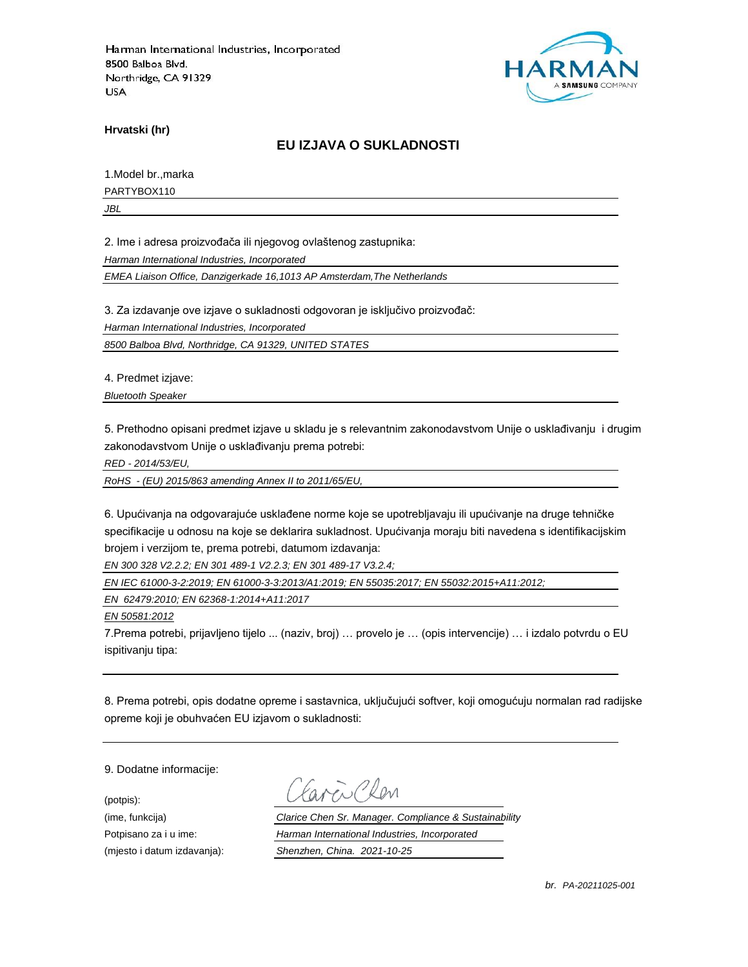

**Hrvatski (hr)**

### **EU IZJAVA O SUKLADNOSTI**

1.Model br.,marka

PARTYBOX110

*JBL*

2. Ime i adresa proizvođača ili njegovog ovlaštenog zastupnika:

*Harman International Industries, Incorporated*

*EMEA Liaison Office, Danzigerkade 16,1013 AP Amsterdam,The Netherlands*

3. Za izdavanje ove izjave o sukladnosti odgovoran je isključivo proizvođač:

*Harman International Industries, Incorporated*

*8500 Balboa Blvd, Northridge, CA 91329, UNITED STATES*

4. Predmet izjave:

*Bluetooth Speaker*

5. Prethodno opisani predmet izjave u skladu je s relevantnim zakonodavstvom Unije o usklađivanju i drugim zakonodavstvom Unije o usklađivanju prema potrebi:

*RED - 2014/53/EU,*

*RoHS - (EU) 2015/863 amending Annex II to 2011/65/EU,*

6. Upućivanja na odgovarajuće usklađene norme koje se upotrebljavaju ili upućivanje na druge tehničke specifikacije u odnosu na koje se deklarira sukladnost. Upućivanja moraju biti navedena s identifikacijskim brojem i verzijom te, prema potrebi, datumom izdavanja:

*EN 300 328 V2.2.2; EN 301 489-1 V2.2.3; EN 301 489-17 V3.2.4;*

*EN IEC 61000-3-2:2019; EN 61000-3-3:2013/A1:2019; EN 55035:2017; EN 55032:2015+A11:2012;*

*EN 62479:2010; EN 62368-1:2014+A11:2017*

*EN 50581:2012*

7.Prema potrebi, prijavljeno tijelo ... (naziv, broj) … provelo je … (opis intervencije) … i izdalo potvrdu o EU ispitivanju tipa:

8. Prema potrebi, opis dodatne opreme i sastavnica, uključujući softver, koji omogućuju normalan rad radijske opreme koji je obuhvaćen EU izjavom o sukladnosti:

9. Dodatne informacije:

(potpis):

(ime, funkcija) *Clarice Chen Sr. Manager. Compliance & Sustainability* Potpisano za i u ime: *Harman International Industries, Incorporated* (mjesto i datum izdavanja): *Shenzhen, China. 2021-10-25*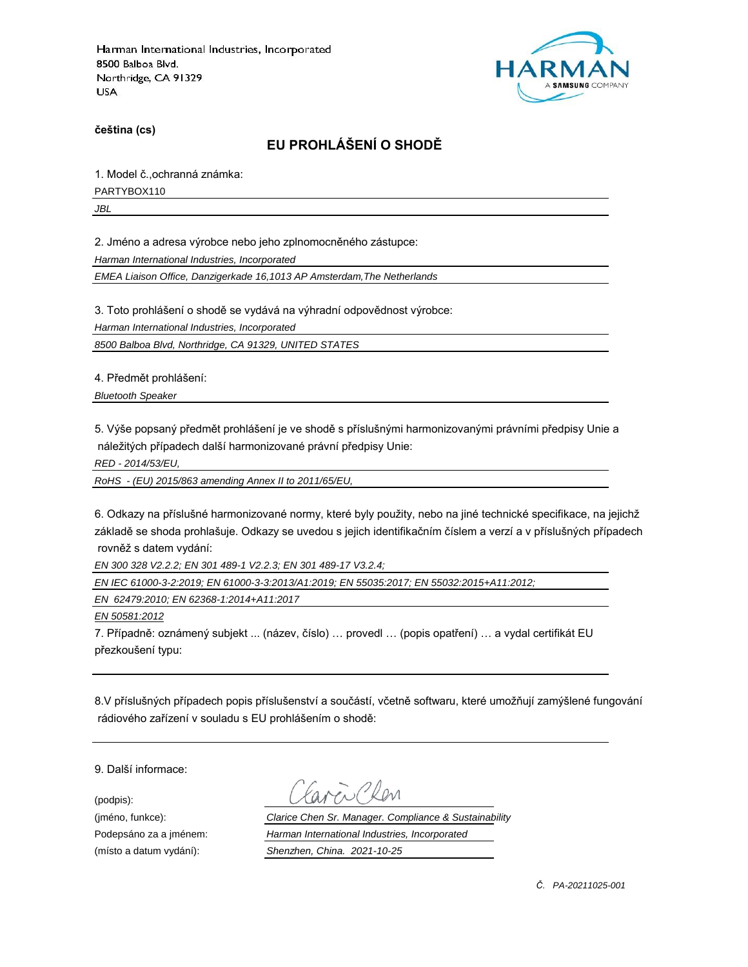

**čeština (cs)**

# **EU PROHLÁŠENÍ O SHODĚ**

1. Model č.,ochranná známka:

PARTYBOX110

*JBL*

2. Jméno a adresa výrobce nebo jeho zplnomocněného zástupce:

*Harman International Industries, Incorporated*

*EMEA Liaison Office, Danzigerkade 16,1013 AP Amsterdam,The Netherlands*

3. Toto prohlášení o shodě se vydává na výhradní odpovědnost výrobce:

*Harman International Industries, Incorporated*

*8500 Balboa Blvd, Northridge, CA 91329, UNITED STATES*

4. Předmět prohlášení:

*Bluetooth Speaker*

5. Výše popsaný předmět prohlášení je ve shodě s příslušnými harmonizovanými právními předpisy Unie a náležitých případech další harmonizované právní předpisy Unie:

*RED - 2014/53/EU,*

*RoHS - (EU) 2015/863 amending Annex II to 2011/65/EU,*

6. Odkazy na příslušné harmonizované normy, které byly použity, nebo na jiné technické specifikace, na jejichž základě se shoda prohlašuje. Odkazy se uvedou s jejich identifikačním číslem a verzí a v příslušných případech rovněž s datem vydání:

*EN 300 328 V2.2.2; EN 301 489-1 V2.2.3; EN 301 489-17 V3.2.4;*

*EN IEC 61000-3-2:2019; EN 61000-3-3:2013/A1:2019; EN 55035:2017; EN 55032:2015+A11:2012;*

*EN 62479:2010; EN 62368-1:2014+A11:2017*

*EN 50581:2012*

7. Případně: oznámený subjekt ... (název, číslo) … provedl … (popis opatření) … a vydal certifikát EU přezkoušení typu:

8.V příslušných případech popis příslušenství a součástí, včetně softwaru, které umožňují zamýšlené fungování rádiového zařízení v souladu s EU prohlášením o shodě:

9. Další informace:

(podpis):

(jméno, funkce): *Clarice Chen Sr. Manager. Compliance & Sustainability* Podepsáno za a jménem: *Harman International Industries, Incorporated* (místo a datum vydání): *Shenzhen, China. 2021-10-25*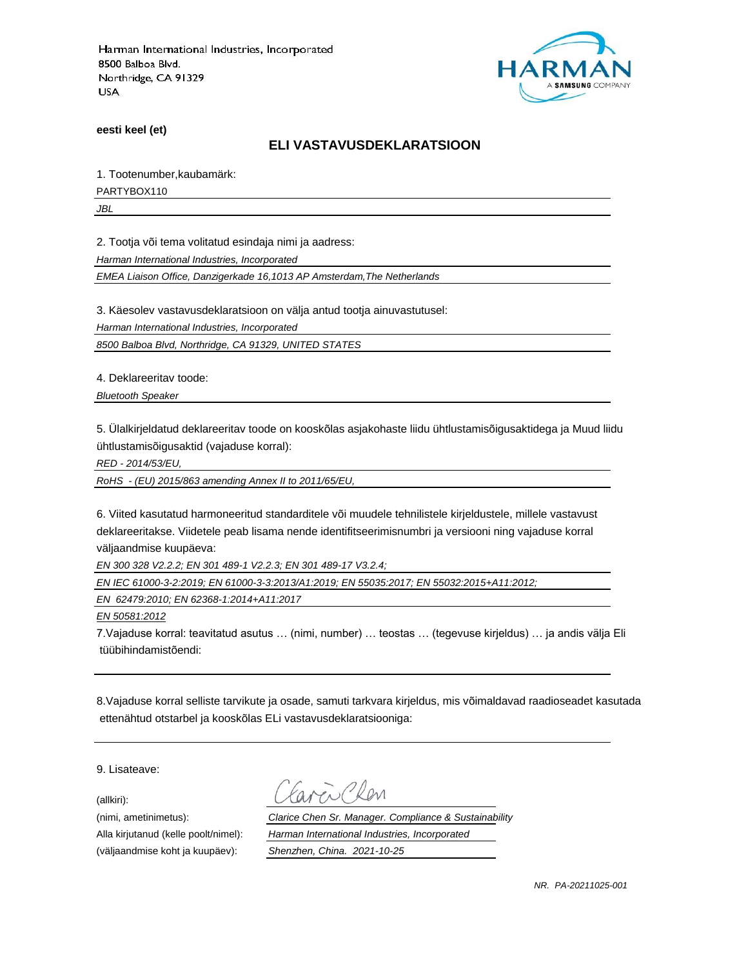

**eesti keel (et)**

#### **ELI VASTAVUSDEKLARATSIOON**

1. Tootenumber,kaubamärk:

PARTYBOX110

*JBL*

2. Tootja või tema volitatud esindaja nimi ja aadress:

*Harman International Industries, Incorporated*

*EMEA Liaison Office, Danzigerkade 16,1013 AP Amsterdam,The Netherlands*

3. Käesolev vastavusdeklaratsioon on välja antud tootja ainuvastutusel:

*Harman International Industries, Incorporated*

*8500 Balboa Blvd, Northridge, CA 91329, UNITED STATES*

4. Deklareeritav toode:

*Bluetooth Speaker*

5. Ülalkirjeldatud deklareeritav toode on kooskõlas asjakohaste liidu ühtlustamisõigusaktidega ja Muud liidu ühtlustamisõigusaktid (vajaduse korral):

*RED - 2014/53/EU,*

*RoHS - (EU) 2015/863 amending Annex II to 2011/65/EU,*

6. Viited kasutatud harmoneeritud standarditele või muudele tehnilistele kirjeldustele, millele vastavust deklareeritakse. Viidetele peab lisama nende identifitseerimisnumbri ja versiooni ning vajaduse korral väljaandmise kuupäeva:

*EN 300 328 V2.2.2; EN 301 489-1 V2.2.3; EN 301 489-17 V3.2.4;*

*EN IEC 61000-3-2:2019; EN 61000-3-3:2013/A1:2019; EN 55035:2017; EN 55032:2015+A11:2012;*

*EN 62479:2010; EN 62368-1:2014+A11:2017*

*EN 50581:2012*

7.Vajaduse korral: teavitatud asutus … (nimi, number) … teostas … (tegevuse kirjeldus) … ja andis välja Eli tüübihindamistõendi:

8.Vajaduse korral selliste tarvikute ja osade, samuti tarkvara kirjeldus, mis võimaldavad raadioseadet kasutada ettenähtud otstarbel ja kooskõlas ELi vastavusdeklaratsiooniga:

9. Lisateave:

(allkiri):

(nimi, ametinimetus): *Clarice Chen Sr. Manager. Compliance & Sustainability* Alla kirjutanud (kelle poolt/nimel): *Harman International Industries, Incorporated* (väljaandmise koht ja kuupäev): *Shenzhen, China. 2021-10-25*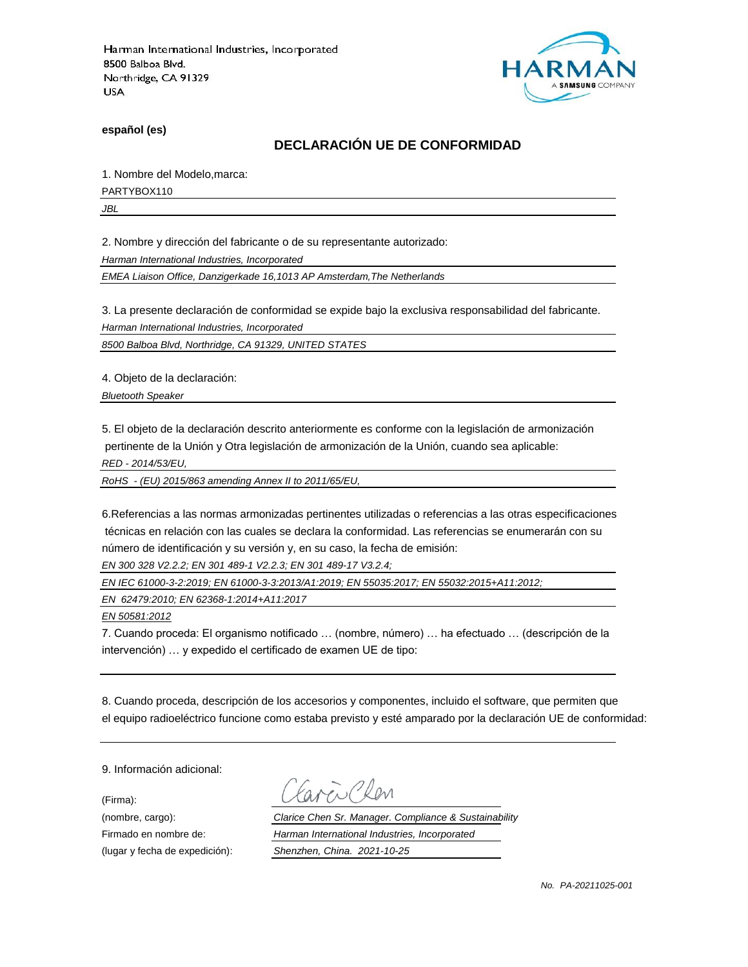

**español (es)**

# **DECLARACIÓN UE DE CONFORMIDAD**

1. Nombre del Modelo,marca:

PARTYBOX110

*JBL*

2. Nombre y dirección del fabricante o de su representante autorizado:

*Harman International Industries, Incorporated*

*EMEA Liaison Office, Danzigerkade 16,1013 AP Amsterdam,The Netherlands*

3. La presente declaración de conformidad se expide bajo la exclusiva responsabilidad del fabricante.

*Harman International Industries, Incorporated*

*8500 Balboa Blvd, Northridge, CA 91329, UNITED STATES*

4. Objeto de la declaración:

*Bluetooth Speaker*

5. El objeto de la declaración descrito anteriormente es conforme con la legislación de armonización pertinente de la Unión y Otra legislación de armonización de la Unión, cuando sea aplicable:

*RED - 2014/53/EU,*

*RoHS - (EU) 2015/863 amending Annex II to 2011/65/EU,*

6.Referencias a las normas armonizadas pertinentes utilizadas o referencias a las otras especificaciones técnicas en relación con las cuales se declara la conformidad. Las referencias se enumerarán con su número de identificación y su versión y, en su caso, la fecha de emisión:

*EN 300 328 V2.2.2; EN 301 489-1 V2.2.3; EN 301 489-17 V3.2.4;*

*EN IEC 61000-3-2:2019; EN 61000-3-3:2013/A1:2019; EN 55035:2017; EN 55032:2015+A11:2012;*

*EN 62479:2010; EN 62368-1:2014+A11:2017*

*EN 50581:2012*

7. Cuando proceda: El organismo notificado … (nombre, número) … ha efectuado … (descripción de la intervención) … y expedido el certificado de examen UE de tipo:

8. Cuando proceda, descripción de los accesorios y componentes, incluido el software, que permiten que el equipo radioeléctrico funcione como estaba previsto y esté amparado por la declaración UE de conformidad:

9. Información adicional:

(Firma):

Clen

(nombre, cargo): *Clarice Chen Sr. Manager. Compliance & Sustainability* Firmado en nombre de: *Harman International Industries, Incorporated* (lugar y fecha de expedición): *Shenzhen, China. 2021-10-25*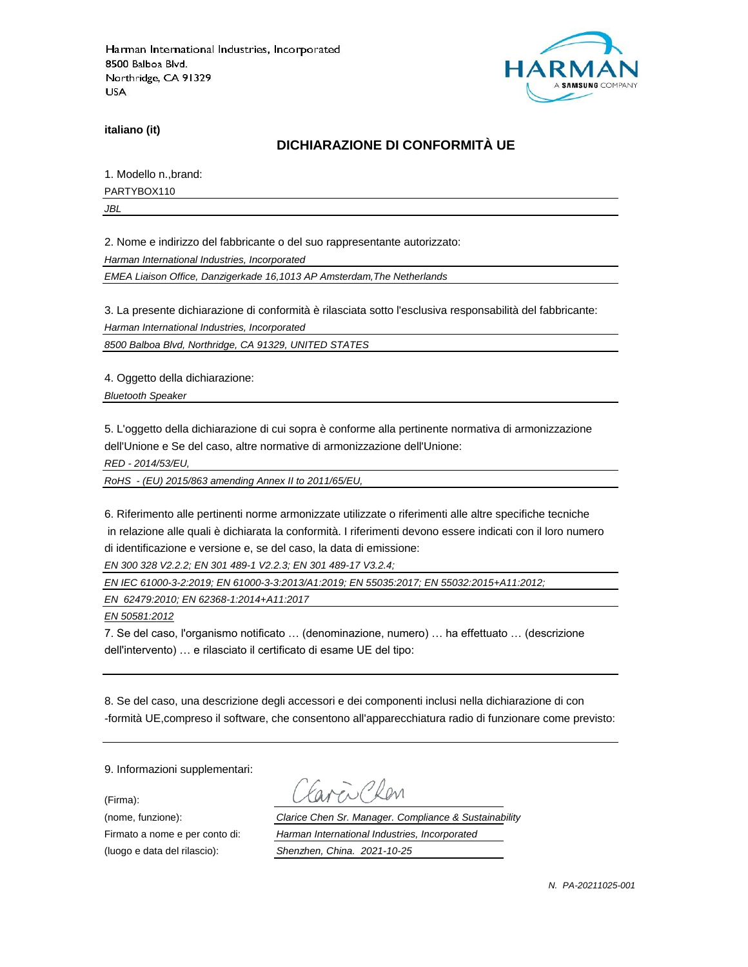

**italiano (it)**

# **DICHIARAZIONE DI CONFORMITÀ UE**

1. Modello n.,brand:

PARTYBOX110

*JBL*

2. Nome e indirizzo del fabbricante o del suo rappresentante autorizzato:

*Harman International Industries, Incorporated*

*EMEA Liaison Office, Danzigerkade 16,1013 AP Amsterdam,The Netherlands*

3. La presente dichiarazione di conformità è rilasciata sotto l'esclusiva responsabilità del fabbricante:

*Harman International Industries, Incorporated*

*8500 Balboa Blvd, Northridge, CA 91329, UNITED STATES*

4. Oggetto della dichiarazione:

*Bluetooth Speaker*

5. L'oggetto della dichiarazione di cui sopra è conforme alla pertinente normativa di armonizzazione dell'Unione e Se del caso, altre normative di armonizzazione dell'Unione:

*RED - 2014/53/EU,*

*RoHS - (EU) 2015/863 amending Annex II to 2011/65/EU,*

6. Riferimento alle pertinenti norme armonizzate utilizzate o riferimenti alle altre specifiche tecniche in relazione alle quali è dichiarata la conformità. I riferimenti devono essere indicati con il loro numero di identificazione e versione e, se del caso, la data di emissione:

*EN 300 328 V2.2.2; EN 301 489-1 V2.2.3; EN 301 489-17 V3.2.4;*

*EN IEC 61000-3-2:2019; EN 61000-3-3:2013/A1:2019; EN 55035:2017; EN 55032:2015+A11:2012;*

*EN 62479:2010; EN 62368-1:2014+A11:2017*

*EN 50581:2012*

7. Se del caso, l'organismo notificato … (denominazione, numero) … ha effettuato … (descrizione dell'intervento) … e rilasciato il certificato di esame UE del tipo:

8. Se del caso, una descrizione degli accessori e dei componenti inclusi nella dichiarazione di con -formità UE,compreso il software, che consentono all'apparecchiatura radio di funzionare come previsto:

9. Informazioni supplementari:

(Firma):

i Clan

(nome, funzione): *Clarice Chen Sr. Manager. Compliance & Sustainability* Firmato a nome e per conto di: *Harman International Industries, Incorporated* (luogo e data del rilascio): *Shenzhen, China. 2021-10-25*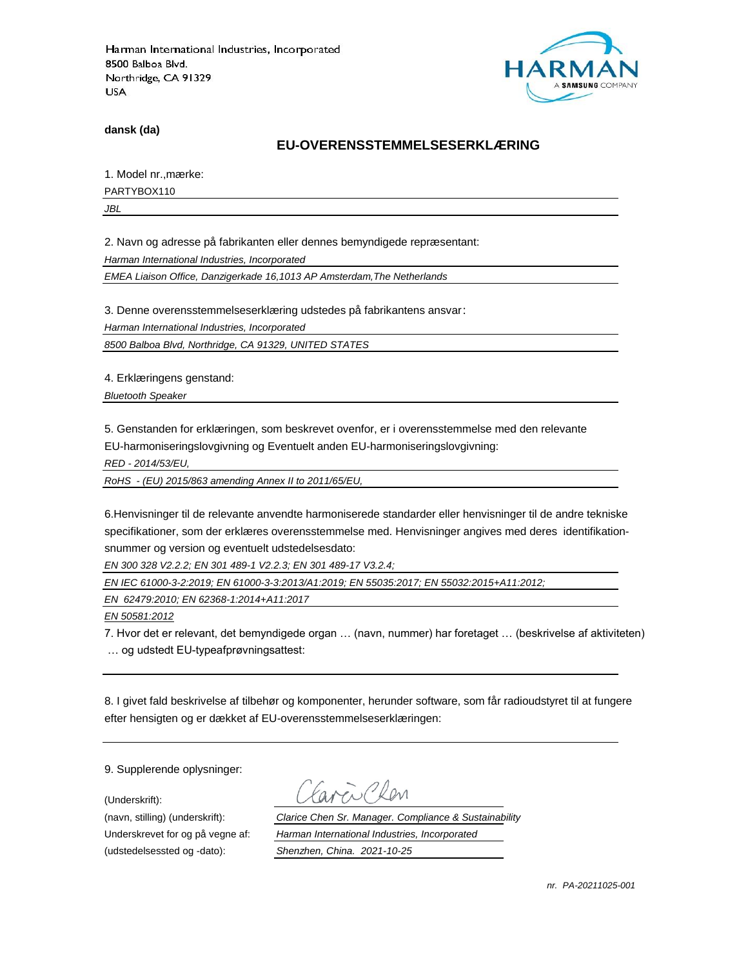

**dansk (da)**

### **EU-OVERENSSTEMMELSESERKLÆ RING**

1. Model nr., mærke:

PARTYBOX110

*JBL*

2. Navn og adresse på fabrikanten eller dennes bemyndigede repræ sentant:

*Harman International Industries, Incorporated*

*EMEA Liaison Office, Danzigerkade 16,1013 AP Amsterdam,The Netherlands*

3. Denne overensstemmelseserklæring udstedes på fabrikantens ansvar:

*Harman International Industries, Incorporated*

*8500 Balboa Blvd, Northridge, CA 91329, UNITED STATES*

4. Erklæringens genstand:

*Bluetooth Speaker*

5. Genstanden for erklæringen, som beskrevet ovenfor, er i overensstemmelse med den relevante

EU-harmoniseringslovgivning og Eventuelt anden EU-harmoniseringslovgivning:

*RED - 2014/53/EU,*

*RoHS - (EU) 2015/863 amending Annex II to 2011/65/EU,*

6.Henvisninger til de relevante anvendte harmoniserede standarder eller henvisninger til de andre tekniske specifikationer, som der erklæres overensstemmelse med. Henvisninger angives med deres identifikationsnummer og version og eventuelt udstedelsesdato:

*EN 300 328 V2.2.2; EN 301 489-1 V2.2.3; EN 301 489-17 V3.2.4;*

*EN IEC 61000-3-2:2019; EN 61000-3-3:2013/A1:2019; EN 55035:2017; EN 55032:2015+A11:2012;*

*EN 62479:2010; EN 62368-1:2014+A11:2017*

*EN 50581:2012*

7. Hvor det er relevant, det bemyndigede organ … (navn, nummer) har foretaget … (beskrivelse af aktiviteten) … og udstedt EU-typeafprøvningsattest:

8. I givet fald beskrivelse af tilbehør og komponenter, herunder software, som får radioudstyret til at fungere efter hensigten og er dækket af EU-overensstemmelseserklæringen:

9. Supplerende oplysninger:

(Underskrift):

(udstedelsessted og -dato): *Shenzhen, China. 2021-10-25*

(navn, stilling) (underskrift): *Clarice Chen Sr. Manager. Compliance & Sustainability* Underskrevet for og på vegne af: *Harman International Industries, Incorporated*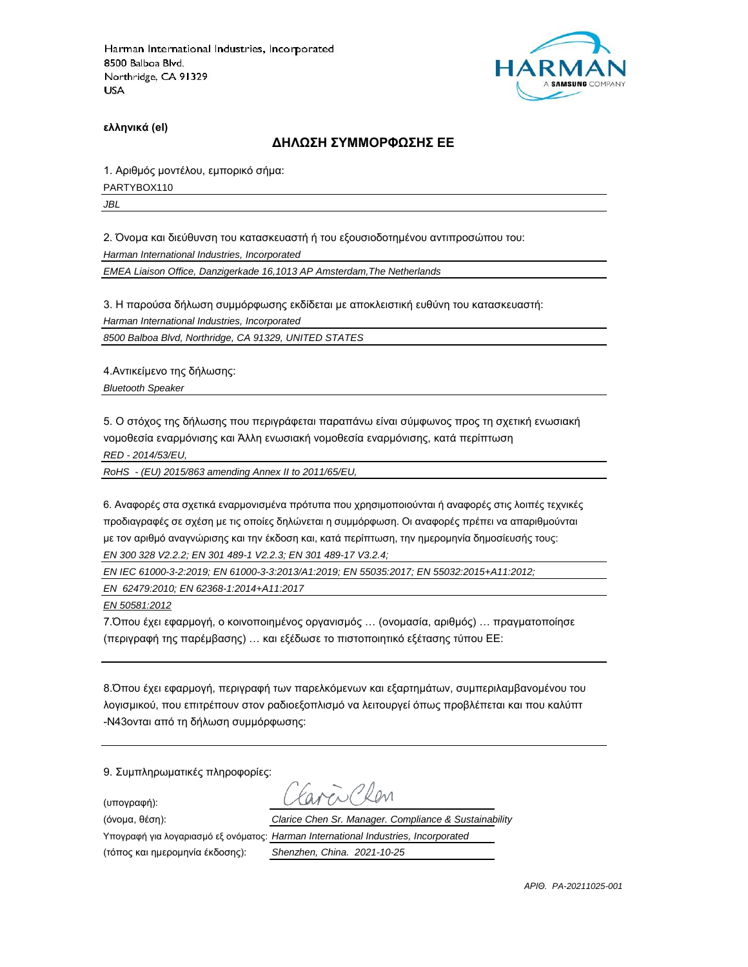

**ελληνικά (el)**

#### **ΔΗΛΩΣΗ ΣΥΜΜΟΡΦΩΣΗΣ ΕΕ**

1. Αριθμός μοντέλου, εμπορικό σήμα:

PARTYBOX110

*JBL*

2. Όνομα και διεύθυνση του κατασκευαστή ή του εξουσιοδοτημένου αντιπροσώπου του:

*Harman International Industries, Incorporated*

*EMEA Liaison Office, Danzigerkade 16,1013 AP Amsterdam,The Netherlands*

3. Η παρούσα δήλωση συμμόρφωσης εκδίδεται με αποκλειστική ευθύνη του κατασκευαστή:

*Harman International Industries, Incorporated*

*8500 Balboa Blvd, Northridge, CA 91329, UNITED STATES*

4.Αντικείμενο της δήλωσης:

*Bluetooth Speaker*

5. Ο στόχος της δήλωσης που περιγράφεται παραπάνω είναι σύμφωνος προς τη σχετική ενωσιακή νομοθεσία εναρμόνισης και Άλλη ενωσιακή νομοθεσία εναρμόνισης, κατά περίπτωση

*RED - 2014/53/EU,*

*RoHS - (EU) 2015/863 amending Annex II to 2011/65/EU,*

6. Αναφορές στα σχετικά εναρμονισμένα πρότυπα που χρησιμοποιούνται ή αναφορές στις λοιπές τεχνικές προδιαγραφές σε σχέση με τις οποίες δηλώνεται η συμμόρφωση. Οι αναφορές πρέπει να απαριθμούνται με τον αριθμό αναγνώρισης και την έκδοση και, κατά περίπτωση, την ημερομηνία δημοσίευσής τους: *EN 300 328 V2.2.2; EN 301 489-1 V2.2.3; EN 301 489-17 V3.2.4;*

*EN IEC 61000-3-2:2019; EN 61000-3-3:2013/A1:2019; EN 55035:2017; EN 55032:2015+A11:2012;*

*EN 62479:2010; EN 62368-1:2014+A11:2017*

*EN 50581:2012*

7.Όπου έχει εφαρμογή, ο κοινοποιημένος οργανισμός … (ονομασία, αριθμός) … πραγματοποίησε (περιγραφή της παρέμβασης) … και εξέδωσε το πιστοποιητικό εξέτασης τύπου ΕΕ:

8.Όπου έχει εφαρμογή, περιγραφή των παρελκόμενων και εξαρτημάτων, συμπεριλαμβανομένου του λογισμικού, που επιτρέπουν στον ραδιοεξοπλισμό να λειτουργεί όπως προβλέπεται και που καλύπτ -N43ονται από τη δήλωση συμμόρφωσης:

9. Συμπληρωματικές πληροφορίες:

(υπογραφή):

ww Ron

(τόπος και ημερομηνία έκδοσης): *Shenzhen, China. 2021-10-25*

(όνομα, θέση): *Clarice Chen Sr. Manager. Compliance & Sustainability* Υπογραφή για λογαριασμό εξ ονόματος: *Harman International Industries, Incorporated*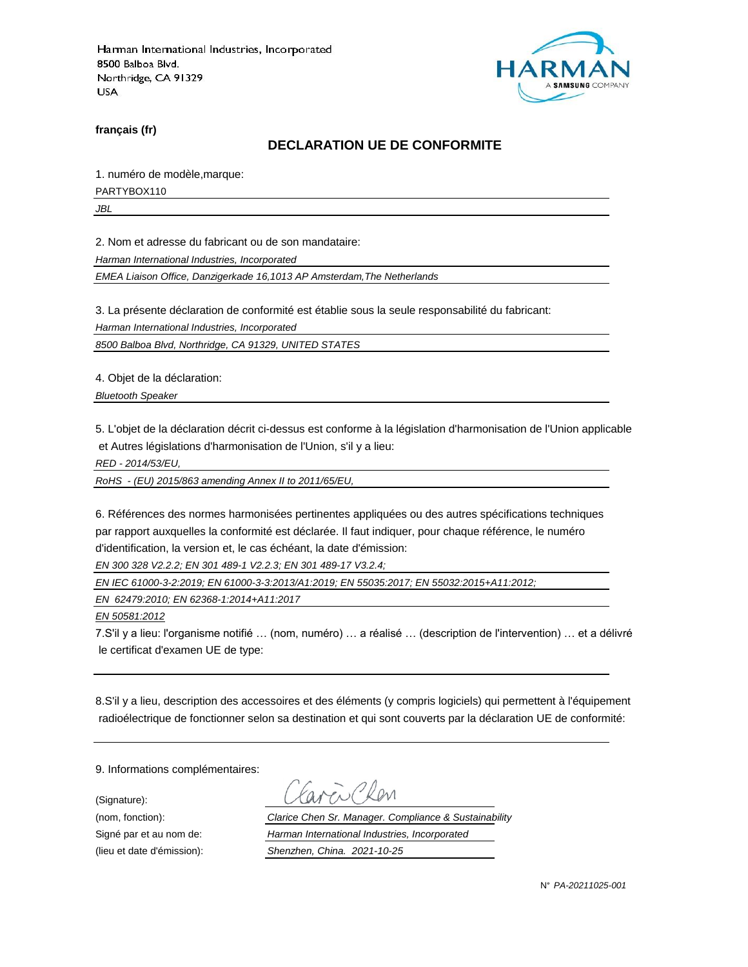

**français (fr)**

### **DECLARATION UE DE CONFORMITE**

1. numéro de modèle,marque:

PARTYBOX110

*JBL*

2. Nom et adresse du fabricant ou de son mandataire:

*Harman International Industries, Incorporated*

*EMEA Liaison Office, Danzigerkade 16,1013 AP Amsterdam,The Netherlands*

3. La présente déclaration de conformité est établie sous la seule responsabilité du fabricant:

*Harman International Industries, Incorporated*

*8500 Balboa Blvd, Northridge, CA 91329, UNITED STATES*

4. Objet de la déclaration:

*Bluetooth Speaker*

5. L'objet de la déclaration décrit ci-dessus est conforme à la législation d'harmonisation de l'Union applicable et Autres législations d'harmonisation de l'Union, s'il y a lieu:

*RED - 2014/53/EU,*

*RoHS - (EU) 2015/863 amending Annex II to 2011/65/EU,*

6. Références des normes harmonisées pertinentes appliquées ou des autres spécifications techniques par rapport auxquelles la conformité est déclarée. Il faut indiquer, pour chaque référence, le numéro d'identification, la version et, le cas échéant, la date d'émission:

*EN 300 328 V2.2.2; EN 301 489-1 V2.2.3; EN 301 489-17 V3.2.4;*

*EN IEC 61000-3-2:2019; EN 61000-3-3:2013/A1:2019; EN 55035:2017; EN 55032:2015+A11:2012;*

*EN 62479:2010; EN 62368-1:2014+A11:2017*

*EN 50581:2012*

7.S'il y a lieu: l'organisme notifié … (nom, numéro) … a réalisé … (description de l'intervention) … et a délivré le certificat d'examen UE de type:

8.S'il y a lieu, description des accessoires et des éléments (y compris logiciels) qui permettent à l'équipement radioélectrique de fonctionner selon sa destination et qui sont couverts par la déclaration UE de conformité:

9. Informations complémentaires:

(Signature):

(nom, fonction): *Clarice Chen Sr. Manager. Compliance & Sustainability* Signé par et au nom de: *Harman International Industries, Incorporated* (lieu et date d'émission): *Shenzhen, China. 2021-10-25*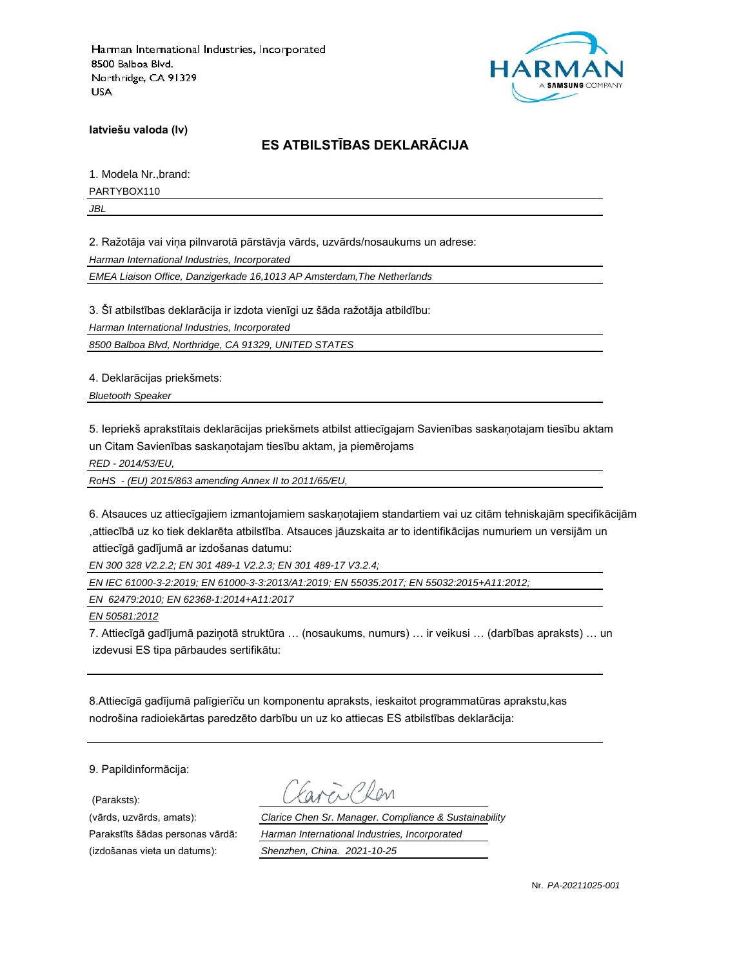

**latviešu valoda (lv)**

# **ES ATBILSTĪBAS DEKLARĀCIJA**

1. Modela Nr.,brand:

PARTYBOX110

*JBL*

2. Ražotāja vai viņa pilnvarotā pārstāvja vārds, uzvārds/nosaukums un adrese:

*Harman International Industries, Incorporated*

*EMEA Liaison Office, Danzigerkade 16,1013 AP Amsterdam,The Netherlands*

3. Šī atbilstības deklarācija ir izdota vienīgi uz šāda ražotāja atbildību:

*Harman International Industries, Incorporated*

*8500 Balboa Blvd, Northridge, CA 91329, UNITED STATES*

4. Deklarācijas priekšmets:

*Bluetooth Speaker*

5. Iepriekš aprakstītais deklarācijas priekšmets atbilst attiecīgajam Savienības saskaņotajam tiesību aktam un Citam Savienības saskaņotajam tiesību aktam, ja piemērojams

*RED - 2014/53/EU,*

*RoHS - (EU) 2015/863 amending Annex II to 2011/65/EU,*

6. Atsauces uz attiecīgajiem izmantojamiem saskaņotajiem standartiem vai uz citām tehniskajām specifikācijām ,attiecībā uz ko tiek deklarēta atbilstība. Atsauces jāuzskaita ar to identifikācijas numuriem un versijām un attiecīgā gadījumā ar izdošanas datumu:

*EN 300 328 V2.2.2; EN 301 489-1 V2.2.3; EN 301 489-17 V3.2.4;*

*EN IEC 61000-3-2:2019; EN 61000-3-3:2013/A1:2019; EN 55035:2017; EN 55032:2015+A11:2012;*

*EN 62479:2010; EN 62368-1:2014+A11:2017*

*EN 50581:2012*

7. Attiecīgā gadījumā paziņotā struktūra … (nosaukums, numurs) … ir veikusi … (darbības apraksts) … un izdevusi ES tipa pārbaudes sertifikātu:

8.Attiecīgā gadījumā palīgierīču un komponentu apraksts, ieskaitot programmatūras aprakstu,kas nodrošina radioiekārtas paredzēto darbību un uz ko attiecas ES atbilstības deklarācija:

9. Papildinformācija:

(Paraksts):

(vārds, uzvārds, amats): *Clarice Chen Sr. Manager. Compliance & Sustainability* Parakstīts šādas personas vārdā: *Harman International Industries, Incorporated* (izdošanas vieta un datums): *Shenzhen, China. 2021-10-25*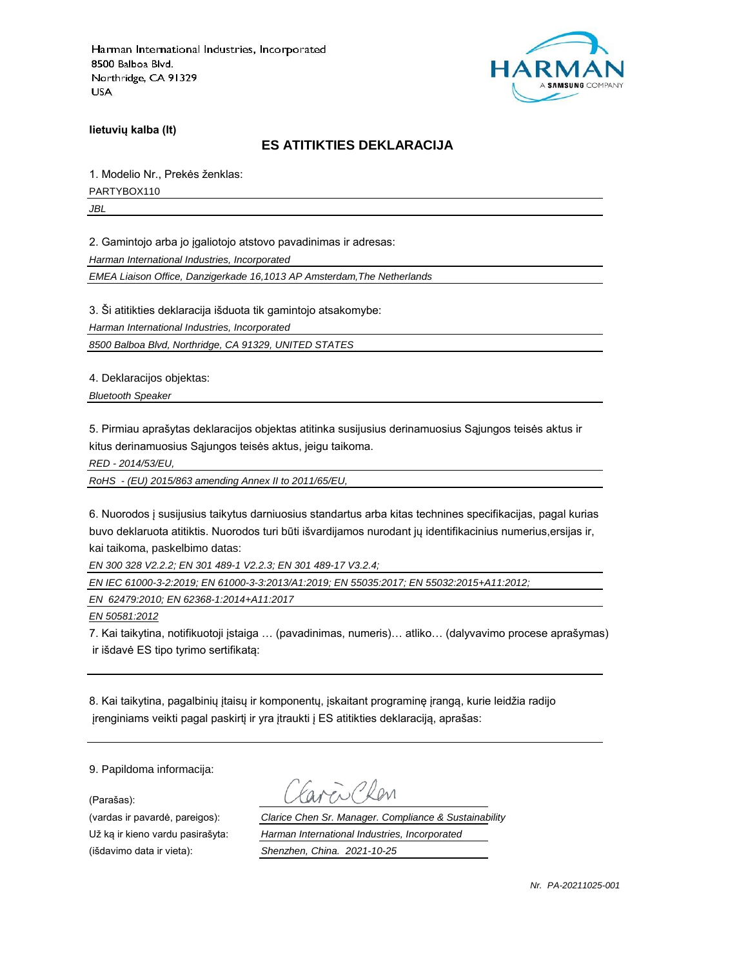

**lietuvių kalba (lt)**

#### **ES ATITIKTIES DEKLARACIJA**

1. Modelio Nr., Prekės ženklas:

PARTYBOX110

*JBL*

2. Gamintojo arba jo įgaliotojo atstovo pavadinimas ir adresas:

*Harman International Industries, Incorporated*

*EMEA Liaison Office, Danzigerkade 16,1013 AP Amsterdam,The Netherlands*

3. Ši atitikties deklaracija išduota tik gamintojo atsakomybe:

*Harman International Industries, Incorporated*

*8500 Balboa Blvd, Northridge, CA 91329, UNITED STATES*

4. Deklaracijos objektas:

*Bluetooth Speaker*

5. Pirmiau aprašytas deklaracijos objektas atitinka susijusius derinamuosius Sąjungos teisės aktus ir kitus derinamuosius Sąjungos teisės aktus, jeigu taikoma.

*RED - 2014/53/EU,*

*RoHS - (EU) 2015/863 amending Annex II to 2011/65/EU,*

6. Nuorodos į susijusius taikytus darniuosius standartus arba kitas technines specifikacijas, pagal kurias buvo deklaruota atitiktis. Nuorodos turi būti išvardijamos nurodant jų identifikacinius numerius,ersijas ir, kai taikoma, paskelbimo datas:

*EN 300 328 V2.2.2; EN 301 489-1 V2.2.3; EN 301 489-17 V3.2.4;*

*EN IEC 61000-3-2:2019; EN 61000-3-3:2013/A1:2019; EN 55035:2017; EN 55032:2015+A11:2012;*

*EN 62479:2010; EN 62368-1:2014+A11:2017*

*EN 50581:2012*

7. Kai taikytina, notifikuotoji įstaiga … (pavadinimas, numeris)… atliko… (dalyvavimo procese aprašymas) ir išdavė ES tipo tyrimo sertifikatą:

8. Kai taikytina, pagalbinių įtaisų ir komponentų, įskaitant programinę įrangą, kurie leidžia radijo įrenginiams veikti pagal paskirtį ir yra įtraukti į ES atitikties deklaraciją, aprašas:

9. Papildoma informacija:

(Parašas):

(išdavimo data ir vieta): *Shenzhen, China. 2021-10-25*

(vardas ir pavardė, pareigos): *Clarice Chen Sr. Manager. Compliance & Sustainability* Už ką ir kieno vardu pasirašyta: *Harman International Industries, Incorporated*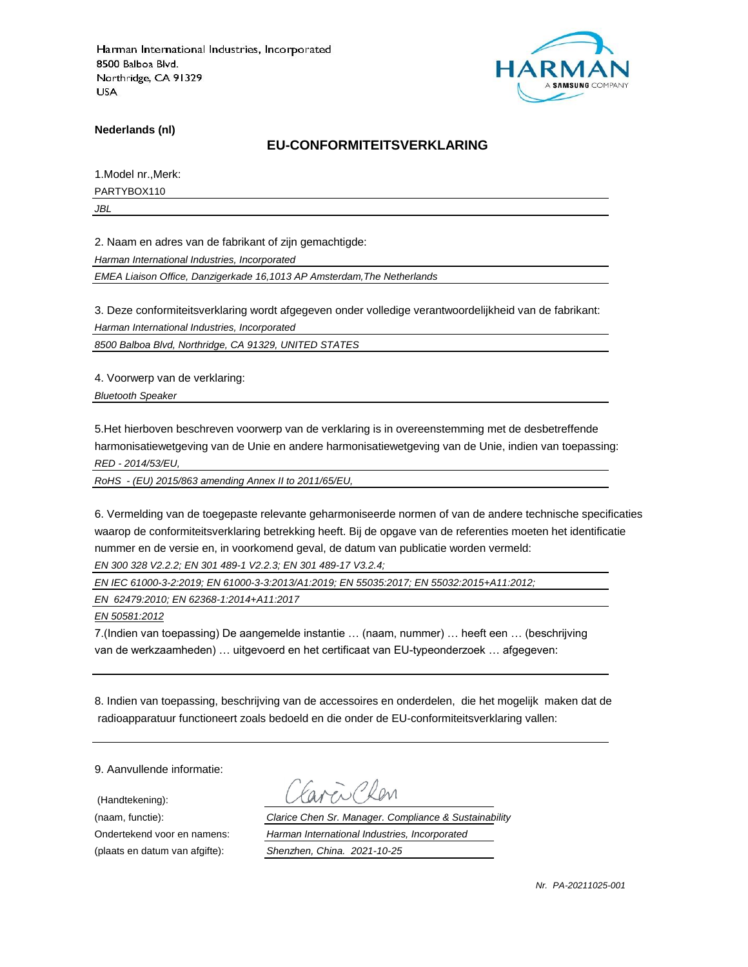

**Nederlands (nl)**

#### **EU-CONFORMITEITSVERKLARING**

1.Model nr.,Merk:

PARTYBOX110

*JBL*

2. Naam en adres van de fabrikant of zijn gemachtigde:

*Harman International Industries, Incorporated*

*EMEA Liaison Office, Danzigerkade 16,1013 AP Amsterdam,The Netherlands*

3. Deze conformiteitsverklaring wordt afgegeven onder volledige verantwoordelijkheid van de fabrikant:

*Harman International Industries, Incorporated*

*8500 Balboa Blvd, Northridge, CA 91329, UNITED STATES*

4. Voorwerp van de verklaring:

*Bluetooth Speaker*

5.Het hierboven beschreven voorwerp van de verklaring is in overeenstemming met de desbetreffende harmonisatiewetgeving van de Unie en andere harmonisatiewetgeving van de Unie, indien van toepassing: *RED - 2014/53/EU,*

*RoHS - (EU) 2015/863 amending Annex II to 2011/65/EU,*

6. Vermelding van de toegepaste relevante geharmoniseerde normen of van de andere technische specificaties waarop de conformiteitsverklaring betrekking heeft. Bij de opgave van de referenties moeten het identificatie nummer en de versie en, in voorkomend geval, de datum van publicatie worden vermeld:

*EN 300 328 V2.2.2; EN 301 489-1 V2.2.3; EN 301 489-17 V3.2.4;*

*EN IEC 61000-3-2:2019; EN 61000-3-3:2013/A1:2019; EN 55035:2017; EN 55032:2015+A11:2012;*

*EN 62479:2010; EN 62368-1:2014+A11:2017*

*EN 50581:2012*

7.(Indien van toepassing) De aangemelde instantie … (naam, nummer) … heeft een … (beschrijving van de werkzaamheden) … uitgevoerd en het certificaat van EU-typeonderzoek … afgegeven:

8. Indien van toepassing, beschrijving van de accessoires en onderdelen, die het mogelijk maken dat de radioapparatuur functioneert zoals bedoeld en die onder de EU-conformiteitsverklaring vallen:

9. Aanvullende informatie:

(Handtekening):

(naam, functie): *Clarice Chen Sr. Manager. Compliance & Sustainability* Ondertekend voor en namens: *Harman International Industries, Incorporated* (plaats en datum van afgifte): *Shenzhen, China. 2021-10-25*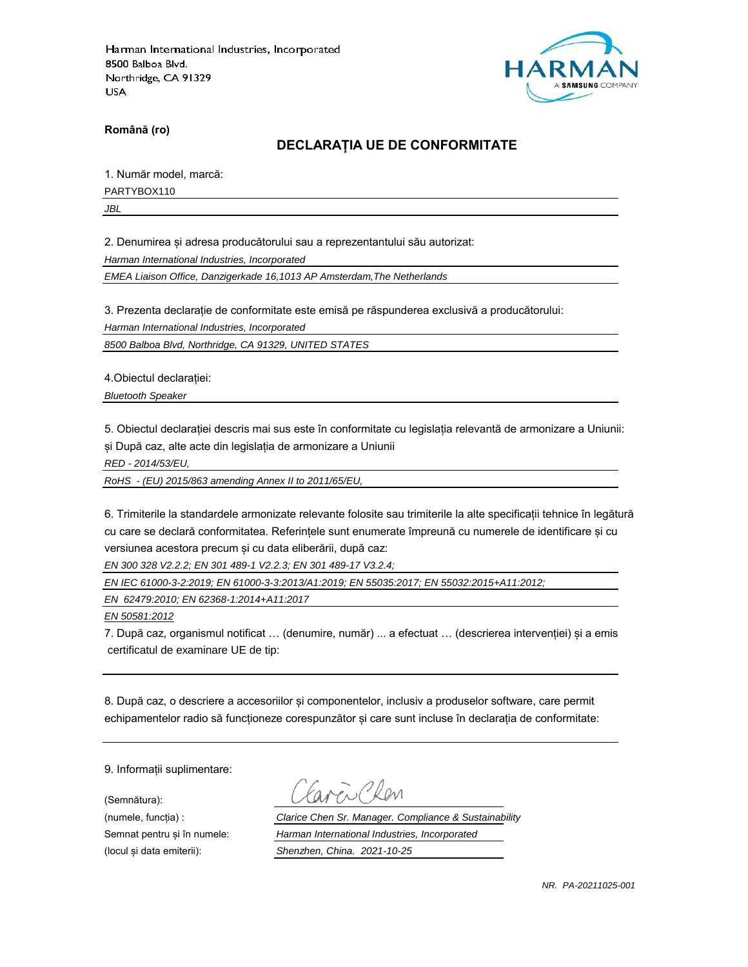

**Română (ro)**

### **DECLARAȚIA UE DE CONFORMITATE**

1. Număr model, marcă:

PARTYBOX110

*JBL*

2. Denumirea și adresa producătorului sau a reprezentantului său autorizat:

*Harman International Industries, Incorporated*

*EMEA Liaison Office, Danzigerkade 16,1013 AP Amsterdam,The Netherlands*

3. Prezenta declarație de conformitate este emisă pe răspunderea exclusivă a producătorului:

*Harman International Industries, Incorporated*

*8500 Balboa Blvd, Northridge, CA 91329, UNITED STATES*

4.Obiectul declarației:

*Bluetooth Speaker*

5. Obiectul declarației descris mai sus este în conformitate cu legislația relevantă de armonizare a Uniunii: și După caz, alte acte din legislația de armonizare a Uniunii

*RED - 2014/53/EU,*

*RoHS - (EU) 2015/863 amending Annex II to 2011/65/EU,*

6. Trimiterile la standardele armonizate relevante folosite sau trimiterile la alte specificații tehnice în legătură cu care se declară conformitatea. Referințele sunt enumerate împreună cu numerele de identificare și cu versiunea acestora precum și cu data eliberării, după caz:

*EN 300 328 V2.2.2; EN 301 489-1 V2.2.3; EN 301 489-17 V3.2.4;*

*EN IEC 61000-3-2:2019; EN 61000-3-3:2013/A1:2019; EN 55035:2017; EN 55032:2015+A11:2012;*

*EN 62479:2010; EN 62368-1:2014+A11:2017*

*EN 50581:2012*

7. După caz, organismul notificat … (denumire, număr) ... a efectuat … (descrierea intervenției) și a emis certificatul de examinare UE de tip:

8. După caz, o descriere a accesoriilor și componentelor, inclusiv a produselor software, care permit echipamentelor radio să funcționeze corespunzător și care sunt incluse în declarația de conformitate:

9. Informații suplimentare:

(Semnătura):

(numele, funcția) : *Clarice Chen Sr. Manager. Compliance & Sustainability* Semnat pentru și în numele: *Harman International Industries, Incorporated* (locul și data emiterii): *Shenzhen, China. 2021-10-25*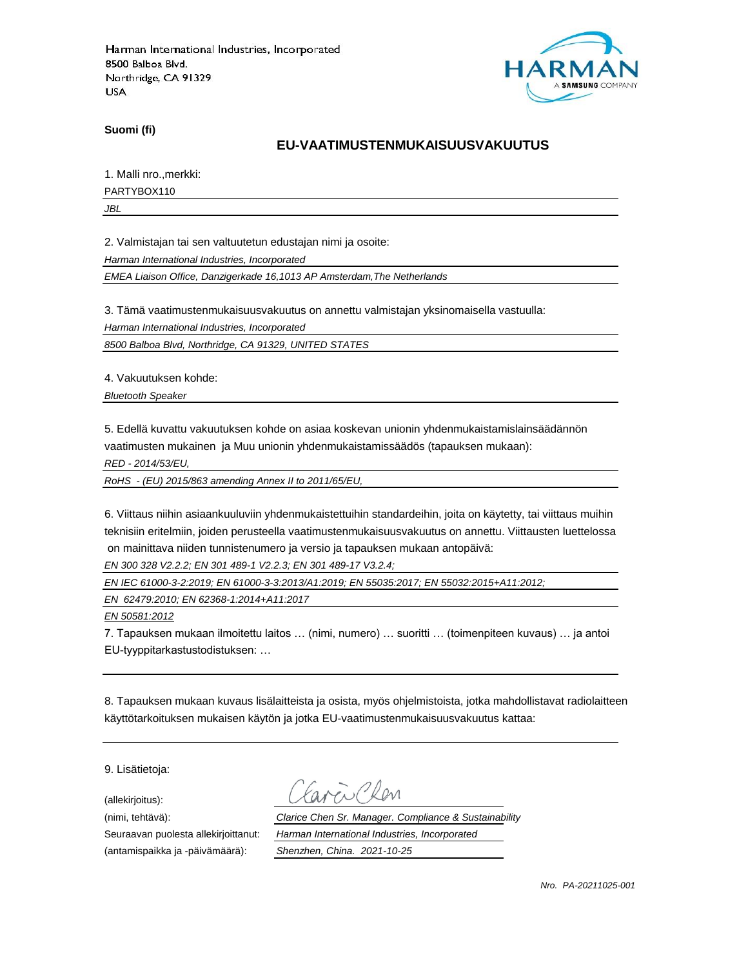

**Suomi (fi)**

### **EU-VAATIMUSTENMUKAISUUSVAKUUTUS**

1. Malli nro.,merkki:

PARTYBOX110

*JBL*

2. Valmistajan tai sen valtuutetun edustajan nimi ja osoite:

*Harman International Industries, Incorporated*

*EMEA Liaison Office, Danzigerkade 16,1013 AP Amsterdam,The Netherlands*

3. Tämä vaatimustenmukaisuusvakuutus on annettu valmistajan yksinomaisella vastuulla:

*Harman International Industries, Incorporated*

*8500 Balboa Blvd, Northridge, CA 91329, UNITED STATES*

4. Vakuutuksen kohde:

*Bluetooth Speaker*

5. Edellä kuvattu vakuutuksen kohde on asiaa koskevan unionin yhdenmukaistamislainsäädännön vaatimusten mukainen ja Muu unionin yhdenmukaistamissäädös (tapauksen mukaan):

*RED - 2014/53/EU,*

*RoHS - (EU) 2015/863 amending Annex II to 2011/65/EU,*

6. Viittaus niihin asiaankuuluviin yhdenmukaistettuihin standardeihin, joita on käytetty, tai viittaus muihin teknisiin eritelmiin, joiden perusteella vaatimustenmukaisuusvakuutus on annettu. Viittausten luettelossa on mainittava niiden tunnistenumero ja versio ja tapauksen mukaan antopäivä:

*EN 300 328 V2.2.2; EN 301 489-1 V2.2.3; EN 301 489-17 V3.2.4;*

*EN IEC 61000-3-2:2019; EN 61000-3-3:2013/A1:2019; EN 55035:2017; EN 55032:2015+A11:2012;*

*EN 62479:2010; EN 62368-1:2014+A11:2017*

*EN 50581:2012*

7. Tapauksen mukaan ilmoitettu laitos … (nimi, numero) … suoritti … (toimenpiteen kuvaus) … ja antoi EU-tyyppitarkastustodistuksen: …

8. Tapauksen mukaan kuvaus lisälaitteista ja osista, myös ohjelmistoista, jotka mahdollistavat radiolaitteen käyttötarkoituksen mukaisen käytön ja jotka EU-vaatimustenmukaisuusvakuutus kattaa:

9. Lisätietoja:

(allekirjoitus):

(antamispaikka ja -päivämäärä): *Shenzhen, China. 2021-10-25*

(nimi, tehtävä): *Clarice Chen Sr. Manager. Compliance & Sustainability* Seuraavan puolesta allekirjoittanut: *Harman International Industries, Incorporated*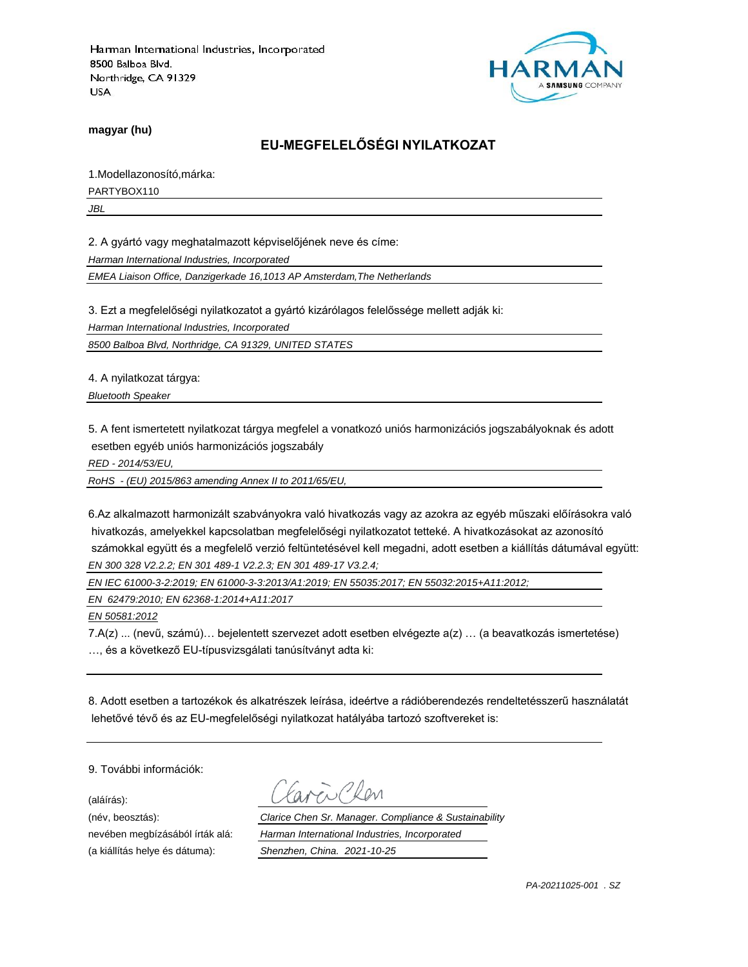

**magyar (hu)**

# **EU-MEGFELELŐSÉGI NYILATKOZAT**

1.Modellazonosító,márka:

PARTYBOX110

*JBL*

2. A gyártó vagy meghatalmazott képviselőjének neve és címe:

*Harman International Industries, Incorporated*

*EMEA Liaison Office, Danzigerkade 16,1013 AP Amsterdam,The Netherlands*

3. Ezt a megfelelőségi nyilatkozatot a gyártó kizárólagos felelőssége mellett adják ki:

*Harman International Industries, Incorporated*

*8500 Balboa Blvd, Northridge, CA 91329, UNITED STATES*

4. A nyilatkozat tárgya:

*Bluetooth Speaker*

5. A fent ismertetett nyilatkozat tárgya megfelel a vonatkozó uniós harmonizációs jogszabályoknak és adott esetben egyéb uniós harmonizációs jogszabály

*RED - 2014/53/EU,*

*RoHS - (EU) 2015/863 amending Annex II to 2011/65/EU,*

6.Az alkalmazott harmonizált szabványokra való hivatkozás vagy az azokra az egyéb műszaki előírásokra való hivatkozás, amelyekkel kapcsolatban megfelelőségi nyilatkozatot tetteké. A hivatkozásokat az azonosító számokkal együtt és a megfelelő verzió feltüntetésével kell megadni, adott esetben a kiállítás dátumával együtt: *EN 300 328 V2.2.2; EN 301 489-1 V2.2.3; EN 301 489-17 V3.2.4;*

*EN IEC 61000-3-2:2019; EN 61000-3-3:2013/A1:2019; EN 55035:2017; EN 55032:2015+A11:2012;*

*EN 62479:2010; EN 62368-1:2014+A11:2017*

*EN 50581:2012*

7.A(z) ... (nevű, számú)… bejelentett szervezet adott esetben elvégezte a(z) … (a beavatkozás ismertetése) …, és a következő EU-típusvizsgálati tanúsítványt adta ki:

8. Adott esetben a tartozékok és alkatrészek leírása, ideértve a rádióberendezés rendeltetésszerű használatát lehetővé tévő és az EU-megfelelőségi nyilatkozat hatályába tartozó szoftvereket is:

9. További információk:

(aláírás):

(név, beosztás): *Clarice Chen Sr. Manager. Compliance & Sustainability* nevében megbízásából írták alá: *Harman International Industries, Incorporated* (a kiállítás helye és dátuma): *Shenzhen, China. 2021-10-25*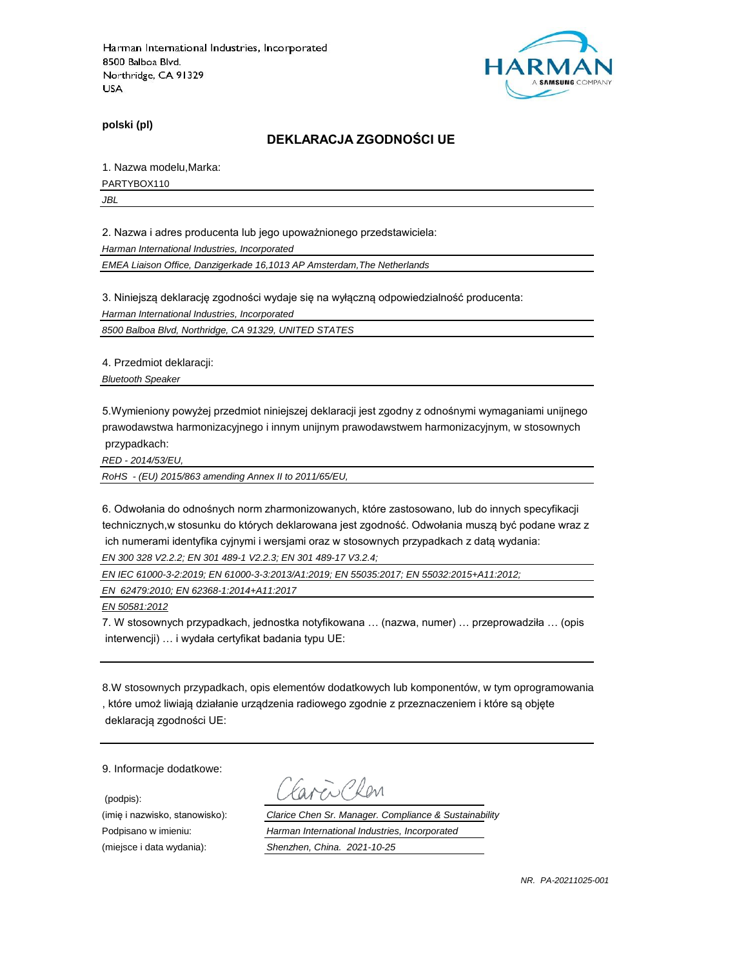

**polski (pl)**

#### **DEKLARACJA ZGODNOŚCI UE**

1. Nazwa modelu,Marka:

PARTYBOX110

*JBL*

2. Nazwa i adres producenta lub jego upoważnionego przedstawiciela:

*Harman International Industries, Incorporated*

*EMEA Liaison Office, Danzigerkade 16,1013 AP Amsterdam,The Netherlands*

3. Niniejszą deklarację zgodności wydaje się na wyłączną odpowiedzialność producenta:

*Harman International Industries, Incorporated*

*8500 Balboa Blvd, Northridge, CA 91329, UNITED STATES*

4. Przedmiot deklaracji:

*Bluetooth Speaker*

5.Wymieniony powyżej przedmiot niniejszej deklaracji jest zgodny z odnośnymi wymaganiami unijnego prawodawstwa harmonizacyjnego i innym unijnym prawodawstwem harmonizacyjnym, w stosownych przypadkach:

*RED - 2014/53/EU,*

*RoHS - (EU) 2015/863 amending Annex II to 2011/65/EU,*

6. Odwołania do odnośnych norm zharmonizowanych, które zastosowano, lub do innych specyfikacji technicznych,w stosunku do których deklarowana jest zgodność. Odwołania muszą być podane wraz z ich numerami identyfika cyjnymi i wersjami oraz w stosownych przypadkach z datą wydania:

*EN 300 328 V2.2.2; EN 301 489-1 V2.2.3; EN 301 489-17 V3.2.4;*

*EN IEC 61000-3-2:2019; EN 61000-3-3:2013/A1:2019; EN 55035:2017; EN 55032:2015+A11:2012;*

*EN 62479:2010; EN 62368-1:2014+A11:2017*

*EN 50581:2012*

7. W stosownych przypadkach, jednostka notyfikowana … (nazwa, numer) … przeprowadziła … (opis interwencji) … i wydała certyfikat badania typu UE:

8.W stosownych przypadkach, opis elementów dodatkowych lub komponentów, w tym oprogramowania , które umoż liwiają działanie urządzenia radiowego zgodnie z przeznaczeniem i które są objęte deklaracją zgodności UE:

9. Informacje dodatkowe:

(podpis):

i Plan

(imię i nazwisko, stanowisko): *Clarice Chen Sr. Manager. Compliance & Sustainability* Podpisano w imieniu: *Harman International Industries, Incorporated* (miejsce i data wydania): *Shenzhen, China. 2021-10-25*

*NR. PA-20211025-001*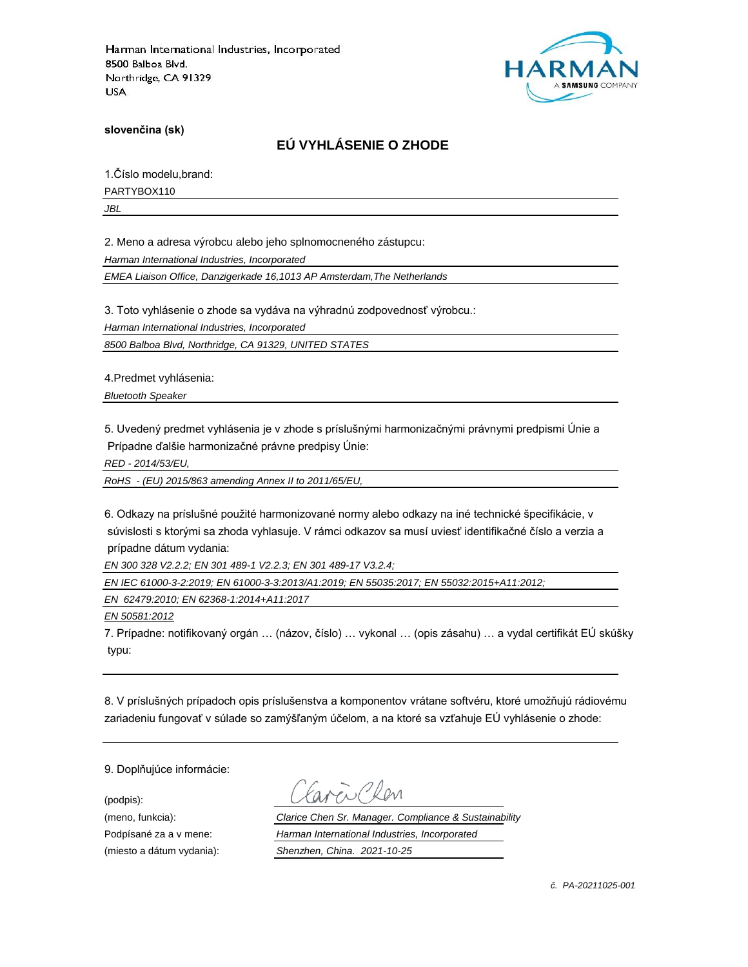

**slovenčina (sk)**

# **EÚ VYHLÁSENIE O ZHODE**

1.Číslo modelu,brand:

PARTYBOX110

*JBL*

2. Meno a adresa výrobcu alebo jeho splnomocneného zástupcu:

*Harman International Industries, Incorporated*

*EMEA Liaison Office, Danzigerkade 16,1013 AP Amsterdam,The Netherlands*

3. Toto vyhlásenie o zhode sa vydáva na výhradnú zodpovednosť výrobcu.:

*Harman International Industries, Incorporated*

*8500 Balboa Blvd, Northridge, CA 91329, UNITED STATES*

4.Predmet vyhlásenia:

*Bluetooth Speaker*

5. Uvedený predmet vyhlásenia je v zhode s príslušnými harmonizačnými právnymi predpismi Únie a Prípadne ďalšie harmonizačné právne predpisy Únie:

*RED - 2014/53/EU,*

*RoHS - (EU) 2015/863 amending Annex II to 2011/65/EU,*

6. Odkazy na príslušné použité harmonizované normy alebo odkazy na iné technické špecifikácie, v súvislosti s ktorými sa zhoda vyhlasuje. V rámci odkazov sa musí uviesť identifikačné číslo a verzia a prípadne dátum vydania:

*EN 300 328 V2.2.2; EN 301 489-1 V2.2.3; EN 301 489-17 V3.2.4;*

*EN IEC 61000-3-2:2019; EN 61000-3-3:2013/A1:2019; EN 55035:2017; EN 55032:2015+A11:2012;*

*EN 62479:2010; EN 62368-1:2014+A11:2017*

*EN 50581:2012*

7. Prípadne: notifikovaný orgán … (názov, číslo) … vykonal … (opis zásahu) … a vydal certifikát EÚ skúšky typu:

8. V príslušných prípadoch opis príslušenstva a komponentov vrátane softvéru, ktoré umožňujú rádiovému zariadeniu fungovať v súlade so zamýšľaným účelom, a na ktoré sa vzťahuje EÚ vyhlásenie o zhode:

9. Doplňujúce informácie:

(podpis):

(meno, funkcia): *Clarice Chen Sr. Manager. Compliance & Sustainability* Podpísané za a v mene: *Harman International Industries, Incorporated* (miesto a dátum vydania): *Shenzhen, China. 2021-10-25*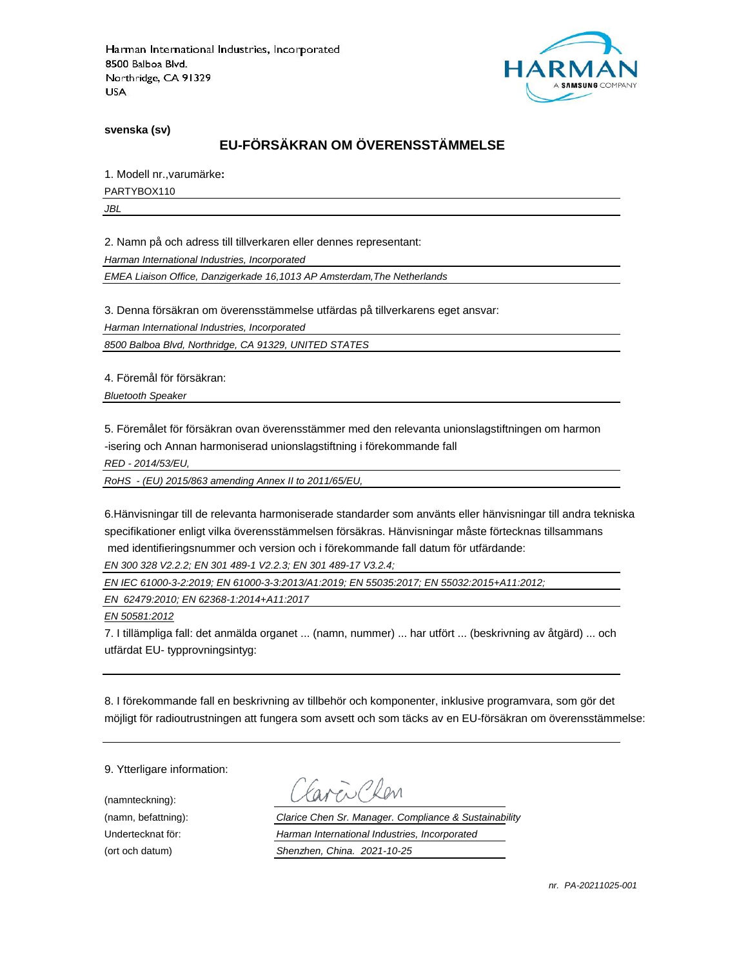

**svenska (sv)**

# **EU-FÖRSÄKRAN OM ÖVERENSSTÄMMELSE**

1. Modell nr.,varumärke**:**

PARTYBOX110

*JBL*

2. Namn på och adress till tillverkaren eller dennes representant:

*Harman International Industries, Incorporated*

*EMEA Liaison Office, Danzigerkade 16,1013 AP Amsterdam,The Netherlands*

3. Denna försäkran om överensstämmelse utfärdas på tillverkarens eget ansvar:

*Harman International Industries, Incorporated*

*8500 Balboa Blvd, Northridge, CA 91329, UNITED STATES*

4. Föremål för försäkran:

*Bluetooth Speaker*

5. Föremålet för försäkran ovan överensstämmer med den relevanta unionslagstiftningen om harmon -isering och Annan harmoniserad unionslagstiftning i förekommande fall

*RED - 2014/53/EU,*

*RoHS - (EU) 2015/863 amending Annex II to 2011/65/EU,*

6.Hänvisningar till de relevanta harmoniserade standarder som använts eller hänvisningar till andra tekniska specifikationer enligt vilka överensstämmelsen försäkras. Hänvisningar måste förtecknas tillsammans med identifieringsnummer och version och i förekommande fall datum för utfärdande:

*EN 300 328 V2.2.2; EN 301 489-1 V2.2.3; EN 301 489-17 V3.2.4;*

*EN IEC 61000-3-2:2019; EN 61000-3-3:2013/A1:2019; EN 55035:2017; EN 55032:2015+A11:2012;*

*EN 62479:2010; EN 62368-1:2014+A11:2017*

*EN 50581:2012*

7. I tillämpliga fall: det anmälda organet ... (namn, nummer) ... har utfört ... (beskrivning av åtgärd) ... och utfärdat EU- typprovningsintyg:

8. I förekommande fall en beskrivning av tillbehör och komponenter, inklusive programvara, som gör det möjligt för radioutrustningen att fungera som avsett och som täcks av en EU-försäkran om överensstämmelse:

9. Ytterligare information:

(namnteckning):

EN Plen

(namn, befattning): *Clarice Chen Sr. Manager. Compliance & Sustainability* Undertecknat för: *Harman International Industries, Incorporated* (ort och datum) *Shenzhen, China. 2021-10-25*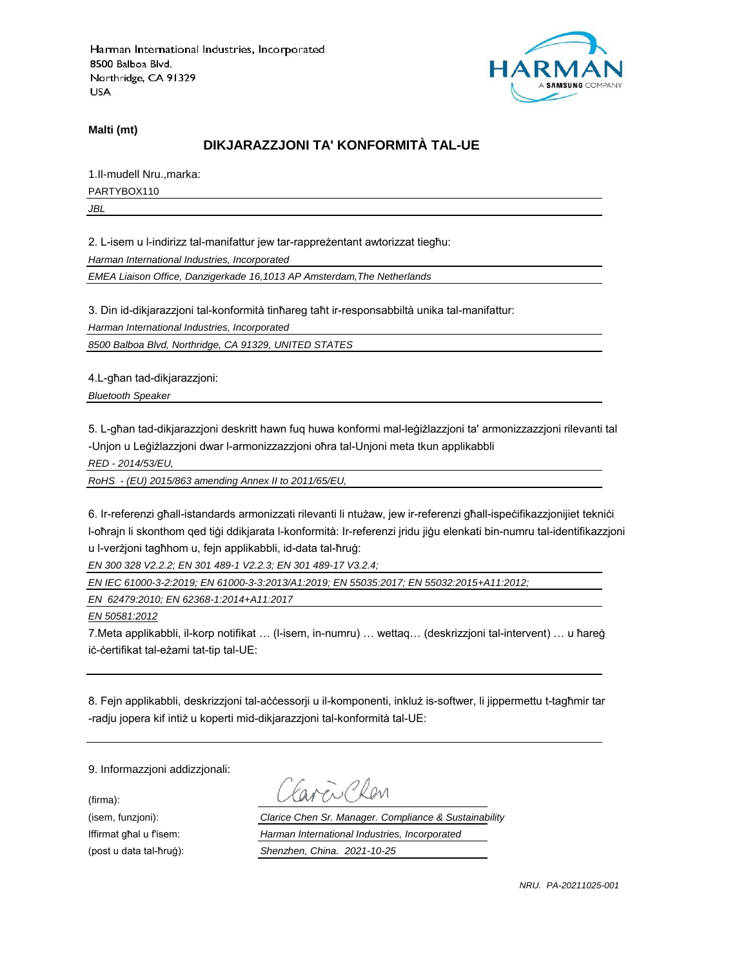

**Malti (mt)**

# **DIKJARAZZJONI TA' KONFORMITÀ TAL-UE**

1.Il-mudell Nru.,marka: PARTYBOX110

*JBL*

2. L-isem u l-indirizz tal-manifattur jew tar-rappreżentant awtorizzat tiegħu:

*Harman International Industries, Incorporated*

*EMEA Liaison Office, Danzigerkade 16,1013 AP Amsterdam,The Netherlands*

3. Din id-dikjarazzjoni tal-konformità tinħareg taħt ir-responsabbiltà unika tal-manifattur:

*Harman International Industries, Incorporated*

*8500 Balboa Blvd, Northridge, CA 91329, UNITED STATES*

4.L-għan tad-dikjarazzjoni:

*Bluetooth Speaker*

5. L-għan tad-dikjarazzjoni deskritt hawn fuq huwa konformi mal-leġiżlazzjoni ta' armonizzazzjoni rilevanti tal -Unjon u Leġiżlazzjoni dwar l-armonizzazzjoni oħra tal-Unjoni meta tkun applikabbli

*RED - 2014/53/EU,*

*RoHS - (EU) 2015/863 amending Annex II to 2011/65/EU,*

6. Ir-referenzi għall-istandards armonizzati rilevanti li ntużaw, jew ir-referenzi għall-ispeċifikazzjonijiet tekniċi l-oħrajn li skonthom qed tiġi ddikjarata l-konformità: Ir-referenzi jridu jiġu elenkati bin-numru tal-identifikazzjoni u l-verżjoni tagħhom u, fejn applikabbli, id-data tal-ħruġ:

*EN 300 328 V2.2.2; EN 301 489-1 V2.2.3; EN 301 489-17 V3.2.4;*

*EN IEC 61000-3-2:2019; EN 61000-3-3:2013/A1:2019; EN 55035:2017; EN 55032:2015+A11:2012;*

*EN 62479:2010; EN 62368-1:2014+A11:2017*

*EN 50581:2012*

7.Meta applikabbli, il-korp notifikat … (l-isem, in-numru) … wettaq… (deskrizzjoni tal-intervent) … u ħareġ iċ-ċertifikat tal-eżami tat-tip tal-UE:

8. Fejn applikabbli, deskrizzjoni tal-aċċessorji u il-komponenti, inkluż is-softwer, li jippermettu t-tagħmir tar -radju jopera kif intiż u koperti mid-dikjarazzjoni tal-konformità tal-UE:

9. Informazzjoni addizzjonali:

(firma):

EN CROM

(isem, funzjoni): *Clarice Chen Sr. Manager. Compliance & Sustainability* Iffirmat għal u f'isem: *Harman International Industries, Incorporated* (post u data tal-ħruġ): *Shenzhen, China. 2021-10-25*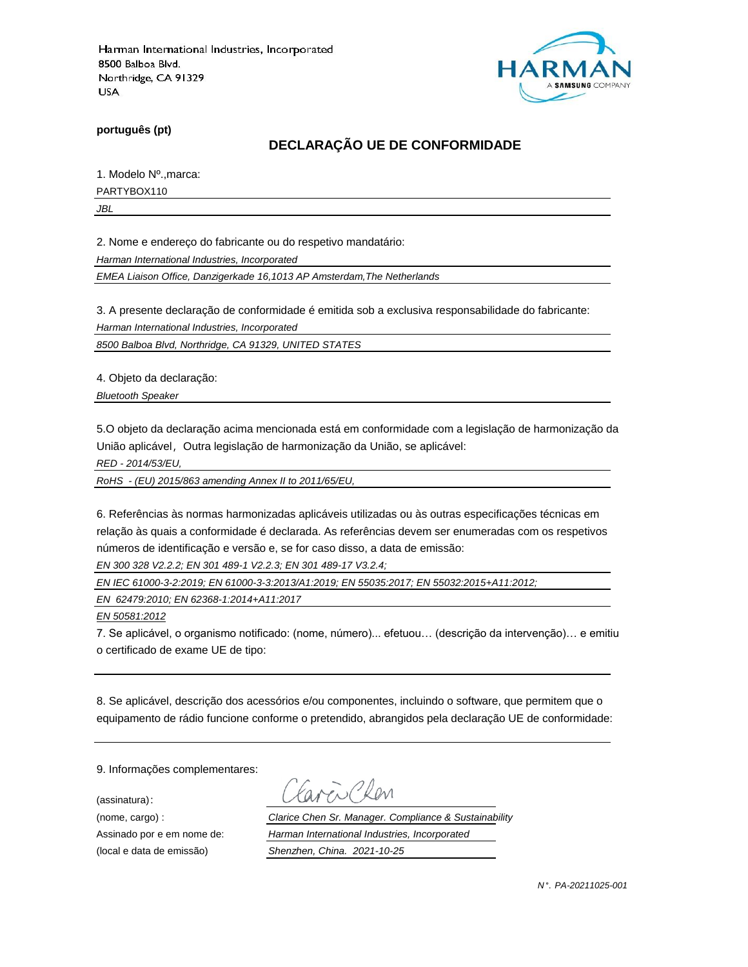

**português (pt)**

# **DECLARAÇÃO UE DE CONFORMIDADE**

1. Modelo Nº.,marca:

PARTYBOX110

*JBL*

2. Nome e endereço do fabricante ou do respetivo mandatário:

*Harman International Industries, Incorporated*

*EMEA Liaison Office, Danzigerkade 16,1013 AP Amsterdam,The Netherlands*

3. A presente declaração de conformidade é emitida sob a exclusiva responsabilidade do fabricante:

*Harman International Industries, Incorporated*

*8500 Balboa Blvd, Northridge, CA 91329, UNITED STATES*

4. Objeto da declaração:

*Bluetooth Speaker*

5.O objeto da declaração acima mencionada está em conformidade com a legislação de harmonização da União aplicável, Outra legislação de harmonização da União, se aplicável:

*RED - 2014/53/EU,*

*RoHS - (EU) 2015/863 amending Annex II to 2011/65/EU,*

6. Referências às normas harmonizadas aplicáveis utilizadas ou às outras especificações técnicas em relação às quais a conformidade é declarada. As referências devem ser enumeradas com os respetivos números de identificação e versão e, se for caso disso, a data de emissão:

*EN 300 328 V2.2.2; EN 301 489-1 V2.2.3; EN 301 489-17 V3.2.4;*

*EN IEC 61000-3-2:2019; EN 61000-3-3:2013/A1:2019; EN 55035:2017; EN 55032:2015+A11:2012;*

*EN 62479:2010; EN 62368-1:2014+A11:2017*

*EN 50581:2012*

7. Se aplicável, o organismo notificado: (nome, número)... efetuou… (descrição da intervenção)… e emitiu o certificado de exame UE de tipo:

8. Se aplicável, descrição dos acessórios e/ou componentes, incluindo o software, que permitem que o equipamento de rádio funcione conforme o pretendido, abrangidos pela declaração UE de conformidade:

9. Informações complementares:

(assinatura):

ENPROM

(nome, cargo) : *Clarice Chen Sr. Manager. Compliance & Sustainability* Assinado por e em nome de: *Harman International Industries, Incorporated* (local e data de emissão) *Shenzhen, China. 2021-10-25*